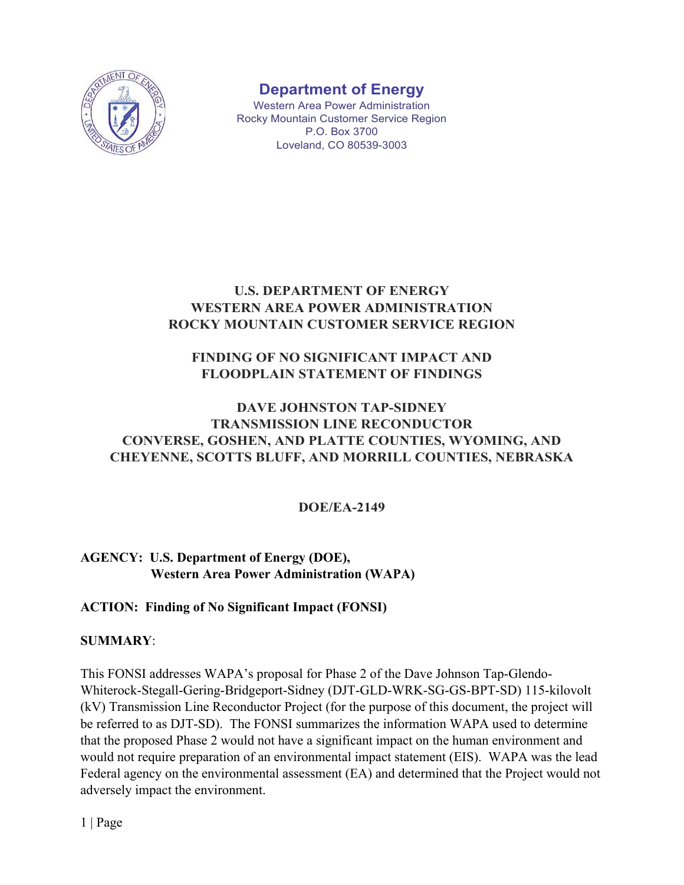

# **Department of Energy**

Western Area Power Administration Rocky Mountain Customer Service Region P.O. Box 3700 Loveland, CO 80539-3003

# **U.S. DEPARTMENT OF ENERGY WESTERN AREA POWER ADMINISTRATION ROCKY MOUNTAIN CUSTOMER SERVICE REGION**

# **FINDING OF NO SIGNIFICANT IMPACT AND FLOODPLAIN STATEMENT OF FINDINGS**

# **DAVE JOHNSTON TAP-SIDNEY TRANSMISSION LINE RECONDUCTOR CONVERSE, GOSHEN, AND PLATTE COUNTIES, WYOMING, AND CHEYENNE, SCOTTS BLUFF, AND MORRILL COUNTIES, NEBRASKA**

# **DOE/EA-2149**

# **AGENCY: U.S. Department of Energy (DOE), Western Area Power Administration (WAPA)**

# **ACTION: Finding of No Significant Impact (FONSI)**

# **SUMMARY**:

This FONSI addresses WAPA's proposal for Phase 2 of the Dave Johnson Tap-Glendo-Whiterock-Stegall-Gering-Bridgeport-Sidney (DJT-GLD-WRK-SG-GS-BPT-SD) 115-kilovolt (kV) Transmission Line Reconductor Project (for the purpose of this document, the project will be referred to as DJT-SD). The FONSI summarizes the information WAPA used to determine that the proposed Phase 2 would not have a significant impact on the human environment and would not require preparation of an environmental impact statement (EIS). WAPA was the lead Federal agency on the environmental assessment (EA) and determined that the Project would not adversely impact the environment.

1 | Page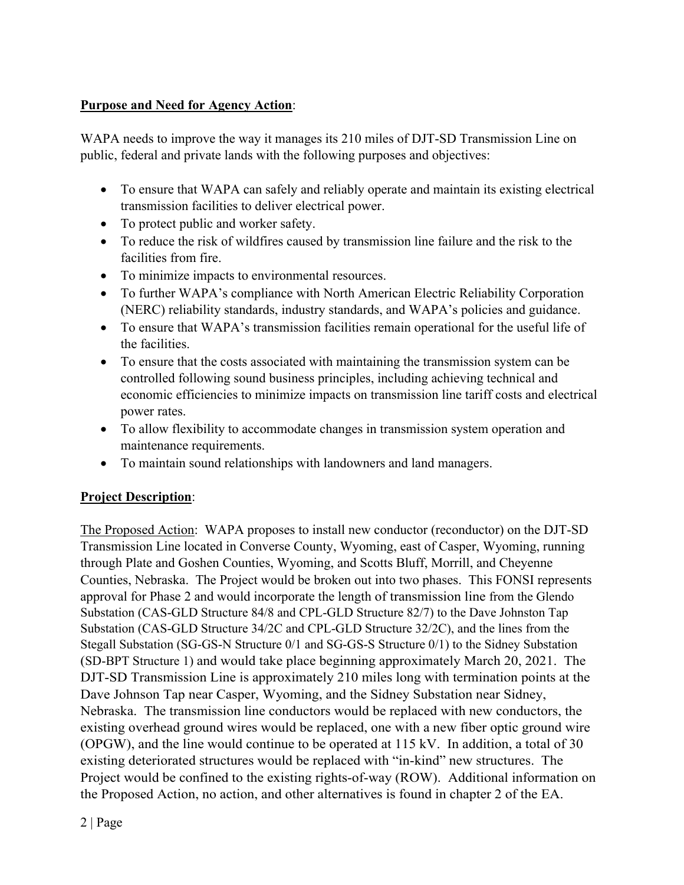#### **Purpose and Need for Agency Action**:

WAPA needs to improve the way it manages its 210 miles of DJT-SD Transmission Line on public, federal and private lands with the following purposes and objectives:

- To ensure that WAPA can safely and reliably operate and maintain its existing electrical transmission facilities to deliver electrical power.
- To protect public and worker safety.
- To reduce the risk of wildfires caused by transmission line failure and the risk to the facilities from fire.
- To minimize impacts to environmental resources.
- To further WAPA's compliance with North American Electric Reliability Corporation (NERC) reliability standards, industry standards, and WAPA's policies and guidance.
- To ensure that WAPA's transmission facilities remain operational for the useful life of the facilities.
- To ensure that the costs associated with maintaining the transmission system can be controlled following sound business principles, including achieving technical and economic efficiencies to minimize impacts on transmission line tariff costs and electrical power rates.
- To allow flexibility to accommodate changes in transmission system operation and maintenance requirements.
- To maintain sound relationships with landowners and land managers.

# **Project Description**:

The Proposed Action: WAPA proposes to install new conductor (reconductor) on the DJT-SD Transmission Line located in Converse County, Wyoming, east of Casper, Wyoming, running through Plate and Goshen Counties, Wyoming, and Scotts Bluff, Morrill, and Cheyenne Counties, Nebraska. The Project would be broken out into two phases. This FONSI represents approval for Phase 2 and would incorporate the length of transmission line from the Glendo Substation (CAS-GLD Structure 84/8 and CPL-GLD Structure 82/7) to the Dave Johnston Tap Substation (CAS-GLD Structure 34/2C and CPL-GLD Structure 32/2C), and the lines from the Stegall Substation (SG-GS-N Structure 0/1 and SG-GS-S Structure 0/1) to the Sidney Substation (SD-BPT Structure 1) and would take place beginning approximately March 20, 2021. The DJT-SD Transmission Line is approximately 210 miles long with termination points at the Dave Johnson Tap near Casper, Wyoming, and the Sidney Substation near Sidney, Nebraska. The transmission line conductors would be replaced with new conductors, the existing overhead ground wires would be replaced, one with a new fiber optic ground wire (OPGW), and the line would continue to be operated at 115 kV. In addition, a total of 30 existing deteriorated structures would be replaced with "in-kind" new structures. The Project would be confined to the existing rights-of-way (ROW). Additional information on the Proposed Action, no action, and other alternatives is found in chapter 2 of the EA.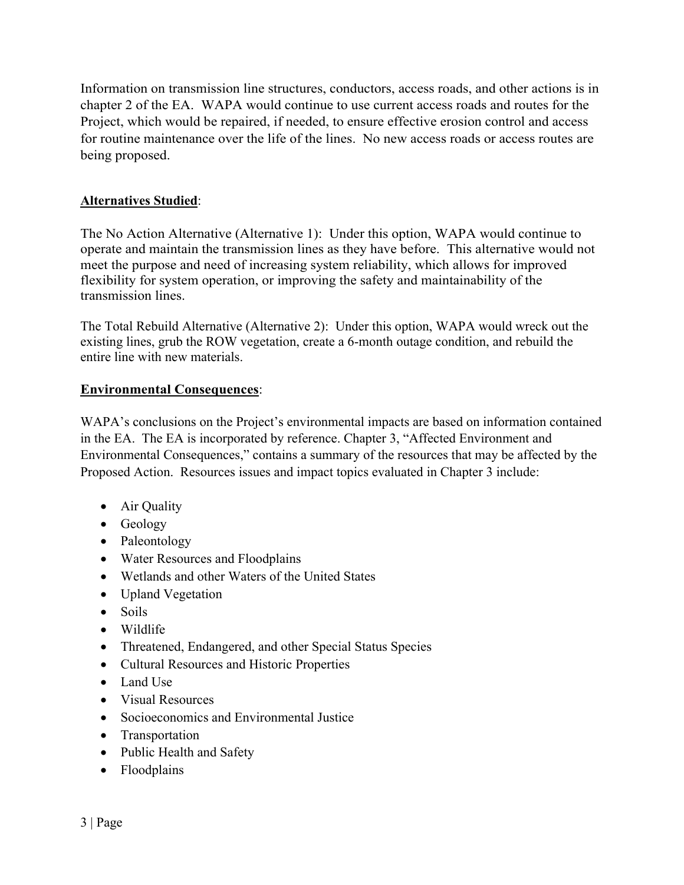Information on transmission line structures, conductors, access roads, and other actions is in chapter 2 of the EA. WAPA would continue to use current access roads and routes for the Project, which would be repaired, if needed, to ensure effective erosion control and access for routine maintenance over the life of the lines. No new access roads or access routes are being proposed.

#### **Alternatives Studied**:

The No Action Alternative (Alternative 1): Under this option, WAPA would continue to operate and maintain the transmission lines as they have before. This alternative would not meet the purpose and need of increasing system reliability, which allows for improved flexibility for system operation, or improving the safety and maintainability of the transmission lines.

The Total Rebuild Alternative (Alternative 2): Under this option, WAPA would wreck out the existing lines, grub the ROW vegetation, create a 6-month outage condition, and rebuild the entire line with new materials.

#### **Environmental Consequences**:

WAPA's conclusions on the Project's environmental impacts are based on information contained in the EA. The EA is incorporated by reference. Chapter 3, "Affected Environment and Environmental Consequences," contains a summary of the resources that may be affected by the Proposed Action. Resources issues and impact topics evaluated in Chapter 3 include:

- Air Quality
- Geology
- Paleontology
- Water Resources and Floodplains
- Wetlands and other Waters of the United States
- Upland Vegetation
- Soils
- Wildlife
- Threatened, Endangered, and other Special Status Species
- Cultural Resources and Historic Properties
- Land Use
- Visual Resources
- Socioeconomics and Environmental Justice
- Transportation
- Public Health and Safety
- Floodplains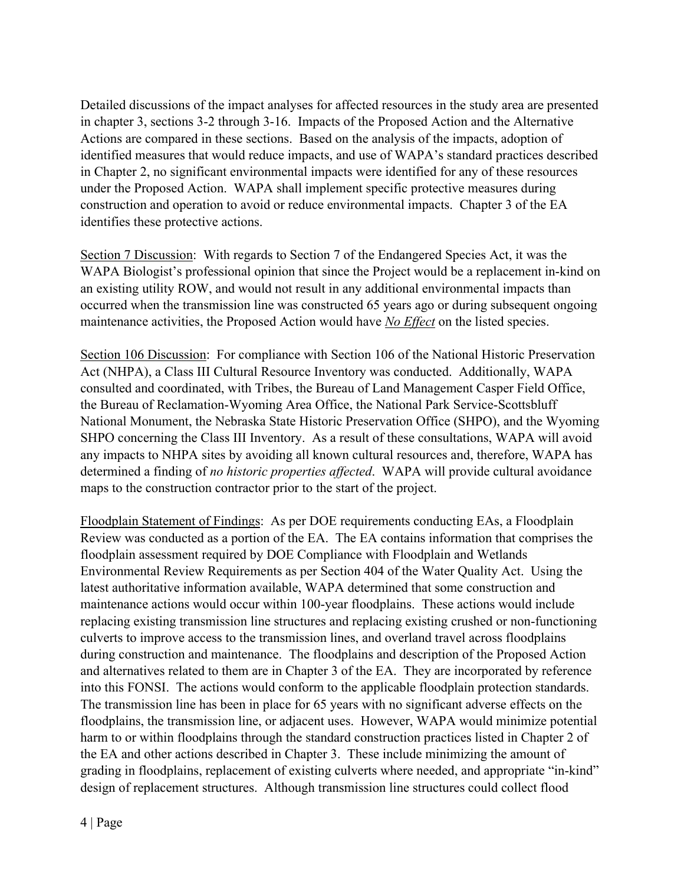Detailed discussions of the impact analyses for affected resources in the study area are presented in chapter 3, sections 3-2 through 3-16. Impacts of the Proposed Action and the Alternative Actions are compared in these sections. Based on the analysis of the impacts, adoption of identified measures that would reduce impacts, and use of WAPA's standard practices described in Chapter 2, no significant environmental impacts were identified for any of these resources under the Proposed Action. WAPA shall implement specific protective measures during construction and operation to avoid or reduce environmental impacts. Chapter 3 of the EA identifies these protective actions.

Section 7 Discussion: With regards to Section 7 of the Endangered Species Act, it was the WAPA Biologist's professional opinion that since the Project would be a replacement in-kind on an existing utility ROW, and would not result in any additional environmental impacts than occurred when the transmission line was constructed 65 years ago or during subsequent ongoing maintenance activities, the Proposed Action would have *No Effect* on the listed species.

Section 106 Discussion: For compliance with Section 106 of the National Historic Preservation Act (NHPA), a Class III Cultural Resource Inventory was conducted. Additionally, WAPA consulted and coordinated, with Tribes, the Bureau of Land Management Casper Field Office, the Bureau of Reclamation-Wyoming Area Office, the National Park Service-Scottsbluff National Monument, the Nebraska State Historic Preservation Office (SHPO), and the Wyoming SHPO concerning the Class III Inventory. As a result of these consultations, WAPA will avoid any impacts to NHPA sites by avoiding all known cultural resources and, therefore, WAPA has determined a finding of *no historic properties affected*. WAPA will provide cultural avoidance maps to the construction contractor prior to the start of the project.

Floodplain Statement of Findings: As per DOE requirements conducting EAs, a Floodplain Review was conducted as a portion of the EA. The EA contains information that comprises the floodplain assessment required by DOE Compliance with Floodplain and Wetlands Environmental Review Requirements as per Section 404 of the Water Quality Act. Using the latest authoritative information available, WAPA determined that some construction and maintenance actions would occur within 100-year floodplains. These actions would include replacing existing transmission line structures and replacing existing crushed or non-functioning culverts to improve access to the transmission lines, and overland travel across floodplains during construction and maintenance. The floodplains and description of the Proposed Action and alternatives related to them are in Chapter 3 of the EA. They are incorporated by reference into this FONSI. The actions would conform to the applicable floodplain protection standards. The transmission line has been in place for 65 years with no significant adverse effects on the floodplains, the transmission line, or adjacent uses. However, WAPA would minimize potential harm to or within floodplains through the standard construction practices listed in Chapter 2 of the EA and other actions described in Chapter 3. These include minimizing the amount of grading in floodplains, replacement of existing culverts where needed, and appropriate "in-kind" design of replacement structures. Although transmission line structures could collect flood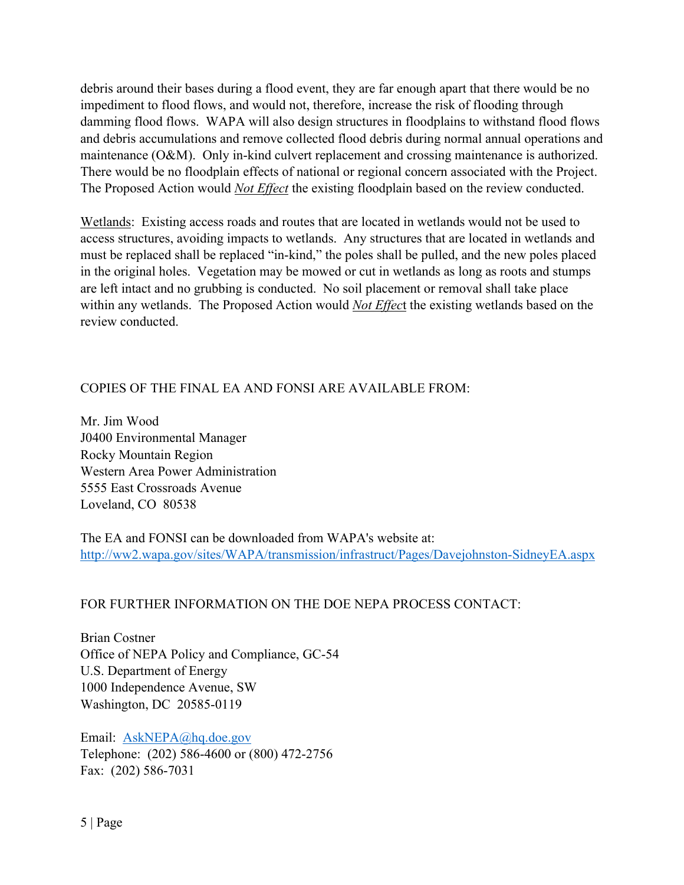debris around their bases during a flood event, they are far enough apart that there would be no impediment to flood flows, and would not, therefore, increase the risk of flooding through damming flood flows. WAPA will also design structures in floodplains to withstand flood flows and debris accumulations and remove collected flood debris during normal annual operations and maintenance (O&M). Only in-kind culvert replacement and crossing maintenance is authorized. There would be no floodplain effects of national or regional concern associated with the Project. The Proposed Action would *Not Effect* the existing floodplain based on the review conducted.

Wetlands: Existing access roads and routes that are located in wetlands would not be used to access structures, avoiding impacts to wetlands. Any structures that are located in wetlands and must be replaced shall be replaced "in-kind," the poles shall be pulled, and the new poles placed in the original holes. Vegetation may be mowed or cut in wetlands as long as roots and stumps are left intact and no grubbing is conducted. No soil placement or removal shall take place within any wetlands. The Proposed Action would *Not Effec*t the existing wetlands based on the review conducted.

# COPIES OF THE FINAL EA AND FONSI ARE AVAILABLE FROM:

Mr. Jim Wood J0400 Environmental Manager Rocky Mountain Region Western Area Power Administration 5555 East Crossroads Avenue Loveland, CO 80538

The EA and FONSI can be downloaded from WAPA's website at: [http://ww2.wapa.gov/sites/WAPA/transmission/infrastruct/Pages/Davejohnston-SidneyEA.aspx](http://ww2.wapa.gov/sites/WAPA/transmission/infrastruct/Pages/Davejohnston%C2%ADSidneyEA.aspx)

#### FOR FURTHER INFORMATION ON THE DOE NEPA PROCESS CONTACT:

Brian Costner Office of NEPA Policy and Compliance, GC-54 U.S. Department of Energy 1000 Independence Avenue, SW Washington, DC 20585-0119

Email: [AskNEPA@hq.doe.gov](mailto:AskNEPA@hq.doe.gov) Telephone: (202) 586-4600 or (800) 472-2756 Fax: (202) 586-7031